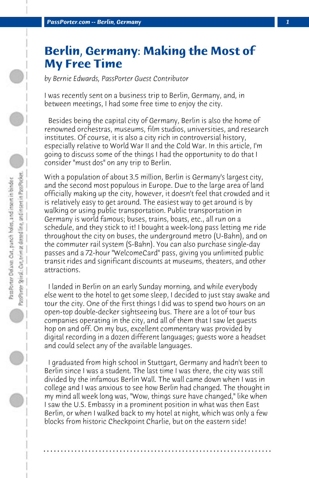## **Berlin, Germany: Making the Most of My Free Time**

*by Bernie Edwards, PassPorter Guest Contributor*

I was recently sent on a business trip to Berlin, Germany, and, in between meetings, I had some free time to enjoy the city.

 Besides being the capital city of Germany, Berlin is also the home of renowned orchestras, museums, film studios, universities, and research institutes. Of course, it is also a city rich in controversial history, especially relative to World War II and the Cold War. In this article, I'm going to discuss some of the things I had the opportunity to do that I consider "must dos" on any trip to Berlin.

With a population of about 3.5 million, Berlin is Germany's largest city, and the second most populous in Europe. Due to the large area of land officially making up the city, however, it doesn't feel that crowded and it is relatively easy to get around. The easiest way to get around is by walking or using public transportation. Public transportation in Germany is world famous; buses, trains, boats, etc., all run on a schedule, and they stick to it! I bought a week-long pass letting me ride throughout the city on buses, the underground metro (U-Bahn), and on the commuter rail system (S-Bahn). You can also purchase single-day passes and a 72-hour "WelcomeCard" pass, giving you unlimited public transit rides and significant discounts at museums, theaters, and other attractions.

 I landed in Berlin on an early Sunday morning, and while everybody else went to the hotel to get some sleep, I decided to just stay awake and tour the city. One of the first things I did was to spend two hours on an open-top double-decker sightseeing bus. There are a lot of tour bus companies operating in the city, and all of them that I saw let guests hop on and off. On my bus, excellent commentary was provided by digital recording in a dozen different languages; guests wore a headset and could select any of the available languages.

 I graduated from high school in Stuttgart, Germany and hadn't been to Berlin since I was a student. The last time I was there, the city was still divided by the infamous Berlin Wall. The wall came down when I was in college and I was anxious to see how Berlin had changed. The thought in my mind all week long was, "Wow, things sure have changed," like when I saw the U.S. Embassy in a prominent position in what was then East Berlin, or when I walked back to my hotel at night, which was only a few blocks from historic Checkpoint Charlie, but on the eastern side!

**. . . . . . . . . . . . . . . . . . . . . . . . . . . . . . . . . . . . . . . . . . . . . . . . . . . . . . . . . . . . . . . . . .**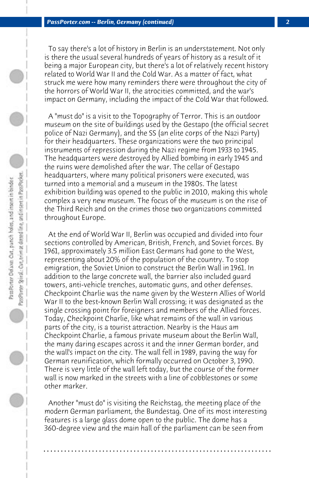To say there's a lot of history in Berlin is an understatement. Not only is there the usual several hundreds of years of history as a result of it being a major European city, but there's a lot of relatively recent history related to World War II and the Cold War. As a matter of fact, what struck me were how many reminders there were throughout the city of the horrors of World War II, the atrocities committed, and the war's impact on Germany, including the impact of the Cold War that followed.

 A "must do" is a visit to the Topography of Terror. This is an outdoor museum on the site of buildings used by the Gestapo (the official secret police of Nazi Germany), and the SS (an elite corps of the Nazi Party) for their headquarters. These organizations were the two principal instruments of repression during the Nazi regime from 1933 to 1945. The headquarters were destroyed by Allied bombing in early 1945 and the ruins were demolished after the war. The cellar of Gestapo headquarters, where many political prisoners were executed, was turned into a memorial and a museum in the 1980s. The latest exhibition building was opened to the public in 2010, making this whole complex a very new museum. The focus of the museum is on the rise of the Third Reich and on the crimes those two organizations committed throughout Europe.

 At the end of World War II, Berlin was occupied and divided into four sections controlled by American, British, French, and Soviet forces. By 1961, approximately 3.5 million East Germans had gone to the West, representing about 20% of the population of the country. To stop emigration, the Soviet Union to construct the Berlin Wall in 1961. In addition to the large concrete wall, the barrier also included guard towers, anti-vehicle trenches, automatic guns, and other defenses. Checkpoint Charlie was the name given by the Western Allies of World War II to the best-known Berlin Wall crossing; it was designated as the single crossing point for foreigners and members of the Allied forces. Today, Checkpoint Charlie, like what remains of the wall in various parts of the city, is a tourist attraction. Nearby is the Haus am Checkpoint Charlie, a famous private museum about the Berlin Wall, the many daring escapes across it and the inner German border, and the wall's impact on the city. The wall fell in 1989, paving the way for German reunification, which formally occurred on October 3, 1990. There is very little of the wall left today, but the course of the former wall is now marked in the streets with a line of cobblestones or some other marker.

 Another "must do" is visiting the Reichstag, the meeting place of the modern German parliament, the Bundestag. One of its most interesting features is a large glass dome open to the public. The dome has a 360-degree view and the main hall of the parliament can be seen from

**. . . . . . . . . . . . . . . . . . . . . . . . . . . . . . . . . . . . . . . . . . . . . . . . . . . . . . . . . . . . . . . . . .**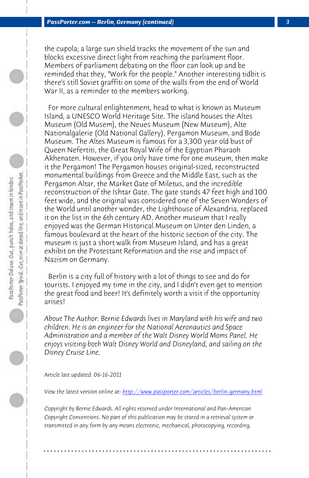the cupola; a large sun shield tracks the movement of the sun and blocks excessive direct light from reaching the parliament floor. Members of parliament debating on the floor can look up and be reminded that they, "Work for the people." Another interesting tidbit is there's still Soviet graffiti on some of the walls from the end of World War II, as a reminder to the members working.

 For more cultural enlightenment, head to what is known as Museum Island, a UNESCO World Heritage Site. The island houses the Altes Museum (Old Musem), the Neues Museum (New Museum), Alte Nationalgalerie (Old National Gallery), Pergamon Museum, and Bode Museum. The Altes Museum is famous for a 3,300 year old bust of Queen Nefertiti, the Great Royal Wife of the Egyptian Pharaoh Akhenaten. However, if you only have time for one museum, then make it the Pergamon! The Pergamon houses original-sized, reconstructed monumental buildings from Greece and the Middle East, such as the Pergamon Altar, the Market Gate of Miletus, and the incredible reconstruction of the Ishtar Gate. The gate stands 47 feet high and 100 feet wide, and the original was considered one of the Seven Wonders of the World until another wonder, the Lighthouse of Alexandria, replaced it on the list in the 6th century AD. Another museum that I really enjoyed was the German Historical Museum on Unter den Linden, a famous boulevard at the heart of the historic section of the city. The museum is just a short walk from Museum Island, and has a great exhibit on the Protestant [Reformation and the rise and impact of](http://www.passporter.com/articles/berlin-germany.php) Nazism on Germany.

 Berlin is a city full of history with a lot of things to see and do for tourists. I enjoyed my time in the city, and I didn't even get to mention the great food and beer! It's definitely worth a visit if the opportunity arises!

*About The Author: Bernie Edwards lives in Maryland with his wife and two children. He is an engineer for the National Aeronautics and Space Administration and a member of the Walt Disney World Moms Panel. He enjoys visiting both Walt Disney World and Disneyland, and sailing on the Disney Cruise Line.*

*Article last updated: 06-16-2011*

*View the latest version online at: http://www.passporter.com/articles/berlin-germany.html*

*Copyright by Bernie Edwards. All rights reserved under International and Pan-American Copyright Conventions. No part of this publication may be stored in a retrieval system or transmitted in any form by any means electronic, mechanical, photocopying, recording,*

**. . . . . . . . . . . . . . . . . . . . . . . . . . . . . . . . . . . . . . . . . . . . . . . . . . . . . . . . . . . . . . . . . .**